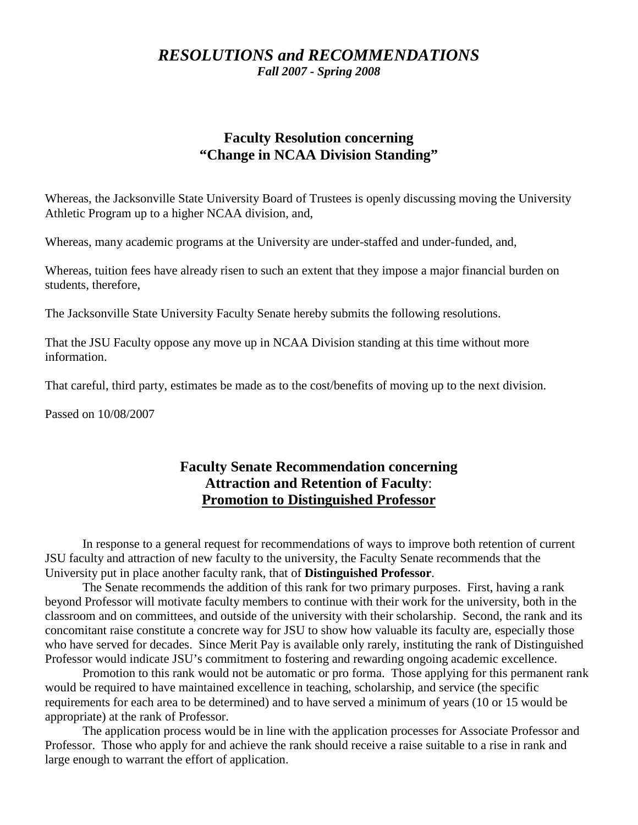# *RESOLUTIONS and RECOMMENDATIONS Fall 2007 - Spring 2008*

# **Faculty Resolution concerning "Change in NCAA Division Standing"**

Whereas, the Jacksonville State University Board of Trustees is openly discussing moving the University Athletic Program up to a higher NCAA division, and,

Whereas, many academic programs at the University are under-staffed and under-funded, and,

Whereas, tuition fees have already risen to such an extent that they impose a major financial burden on students, therefore,

The Jacksonville State University Faculty Senate hereby submits the following resolutions.

That the JSU Faculty oppose any move up in NCAA Division standing at this time without more information.

That careful, third party, estimates be made as to the cost/benefits of moving up to the next division.

Passed on 10/08/2007

# **Faculty Senate Recommendation concerning Attraction and Retention of Faculty**: **Promotion to Distinguished Professor**

In response to a general request for recommendations of ways to improve both retention of current JSU faculty and attraction of new faculty to the university, the Faculty Senate recommends that the University put in place another faculty rank, that of **Distinguished Professor**.

The Senate recommends the addition of this rank for two primary purposes. First, having a rank beyond Professor will motivate faculty members to continue with their work for the university, both in the classroom and on committees, and outside of the university with their scholarship. Second, the rank and its concomitant raise constitute a concrete way for JSU to show how valuable its faculty are, especially those who have served for decades. Since Merit Pay is available only rarely, instituting the rank of Distinguished Professor would indicate JSU's commitment to fostering and rewarding ongoing academic excellence.

Promotion to this rank would not be automatic or pro forma. Those applying for this permanent rank would be required to have maintained excellence in teaching, scholarship, and service (the specific requirements for each area to be determined) and to have served a minimum of years (10 or 15 would be appropriate) at the rank of Professor.

The application process would be in line with the application processes for Associate Professor and Professor. Those who apply for and achieve the rank should receive a raise suitable to a rise in rank and large enough to warrant the effort of application.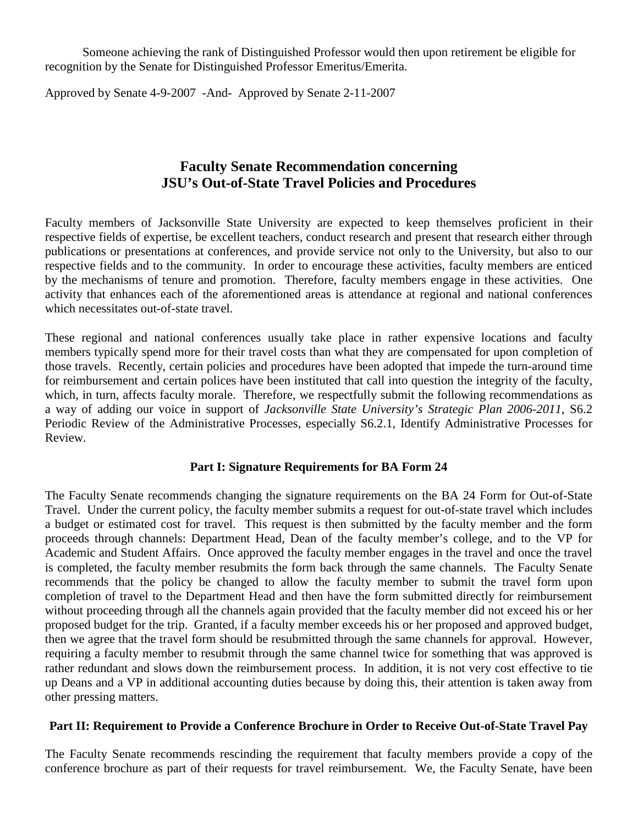Someone achieving the rank of Distinguished Professor would then upon retirement be eligible for recognition by the Senate for Distinguished Professor Emeritus/Emerita.

Approved by Senate 4-9-2007 -And- Approved by Senate 2-11-2007

# **Faculty Senate Recommendation concerning JSU's Out-of-State Travel Policies and Procedures**

Faculty members of Jacksonville State University are expected to keep themselves proficient in their respective fields of expertise, be excellent teachers, conduct research and present that research either through publications or presentations at conferences, and provide service not only to the University, but also to our respective fields and to the community. In order to encourage these activities, faculty members are enticed by the mechanisms of tenure and promotion. Therefore, faculty members engage in these activities. One activity that enhances each of the aforementioned areas is attendance at regional and national conferences which necessitates out-of-state travel.

These regional and national conferences usually take place in rather expensive locations and faculty members typically spend more for their travel costs than what they are compensated for upon completion of those travels. Recently, certain policies and procedures have been adopted that impede the turn-around time for reimbursement and certain polices have been instituted that call into question the integrity of the faculty, which, in turn, affects faculty morale. Therefore, we respectfully submit the following recommendations as a way of adding our voice in support of *Jacksonville State University's Strategic Plan 2006-2011*, S6.2 Periodic Review of the Administrative Processes, especially S6.2.1, Identify Administrative Processes for Review.

## **Part I: Signature Requirements for BA Form 24**

The Faculty Senate recommends changing the signature requirements on the BA 24 Form for Out-of-State Travel. Under the current policy, the faculty member submits a request for out-of-state travel which includes a budget or estimated cost for travel. This request is then submitted by the faculty member and the form proceeds through channels: Department Head, Dean of the faculty member's college, and to the VP for Academic and Student Affairs. Once approved the faculty member engages in the travel and once the travel is completed, the faculty member resubmits the form back through the same channels. The Faculty Senate recommends that the policy be changed to allow the faculty member to submit the travel form upon completion of travel to the Department Head and then have the form submitted directly for reimbursement without proceeding through all the channels again provided that the faculty member did not exceed his or her proposed budget for the trip. Granted, if a faculty member exceeds his or her proposed and approved budget, then we agree that the travel form should be resubmitted through the same channels for approval. However, requiring a faculty member to resubmit through the same channel twice for something that was approved is rather redundant and slows down the reimbursement process. In addition, it is not very cost effective to tie up Deans and a VP in additional accounting duties because by doing this, their attention is taken away from other pressing matters.

## **Part II: Requirement to Provide a Conference Brochure in Order to Receive Out-of-State Travel Pay**

The Faculty Senate recommends rescinding the requirement that faculty members provide a copy of the conference brochure as part of their requests for travel reimbursement. We, the Faculty Senate, have been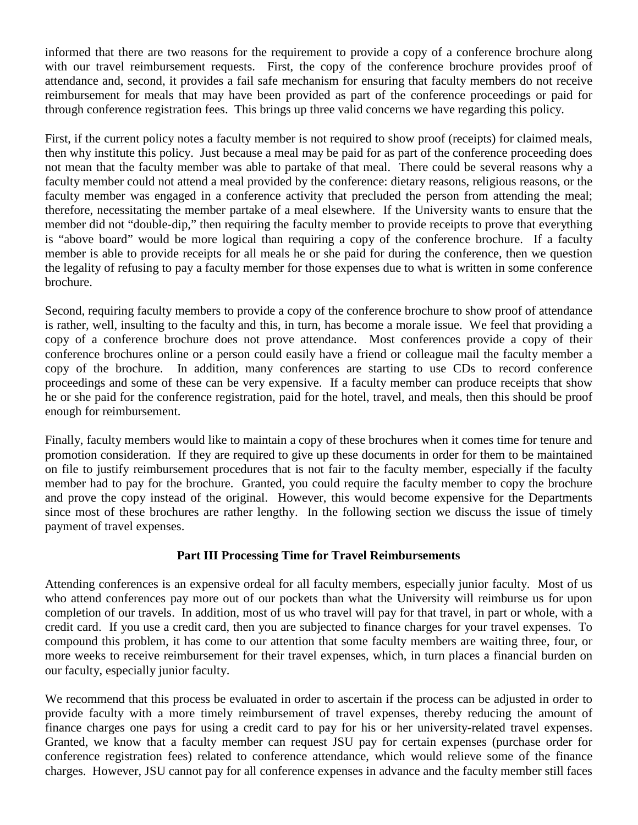informed that there are two reasons for the requirement to provide a copy of a conference brochure along with our travel reimbursement requests. First, the copy of the conference brochure provides proof of attendance and, second, it provides a fail safe mechanism for ensuring that faculty members do not receive reimbursement for meals that may have been provided as part of the conference proceedings or paid for through conference registration fees. This brings up three valid concerns we have regarding this policy.

First, if the current policy notes a faculty member is not required to show proof (receipts) for claimed meals, then why institute this policy. Just because a meal may be paid for as part of the conference proceeding does not mean that the faculty member was able to partake of that meal. There could be several reasons why a faculty member could not attend a meal provided by the conference: dietary reasons, religious reasons, or the faculty member was engaged in a conference activity that precluded the person from attending the meal; therefore, necessitating the member partake of a meal elsewhere. If the University wants to ensure that the member did not "double-dip," then requiring the faculty member to provide receipts to prove that everything is "above board" would be more logical than requiring a copy of the conference brochure. If a faculty member is able to provide receipts for all meals he or she paid for during the conference, then we question the legality of refusing to pay a faculty member for those expenses due to what is written in some conference brochure.

Second, requiring faculty members to provide a copy of the conference brochure to show proof of attendance is rather, well, insulting to the faculty and this, in turn, has become a morale issue. We feel that providing a copy of a conference brochure does not prove attendance. Most conferences provide a copy of their conference brochures online or a person could easily have a friend or colleague mail the faculty member a copy of the brochure. In addition, many conferences are starting to use CDs to record conference proceedings and some of these can be very expensive. If a faculty member can produce receipts that show he or she paid for the conference registration, paid for the hotel, travel, and meals, then this should be proof enough for reimbursement.

Finally, faculty members would like to maintain a copy of these brochures when it comes time for tenure and promotion consideration. If they are required to give up these documents in order for them to be maintained on file to justify reimbursement procedures that is not fair to the faculty member, especially if the faculty member had to pay for the brochure. Granted, you could require the faculty member to copy the brochure and prove the copy instead of the original. However, this would become expensive for the Departments since most of these brochures are rather lengthy. In the following section we discuss the issue of timely payment of travel expenses.

## **Part III Processing Time for Travel Reimbursements**

Attending conferences is an expensive ordeal for all faculty members, especially junior faculty. Most of us who attend conferences pay more out of our pockets than what the University will reimburse us for upon completion of our travels. In addition, most of us who travel will pay for that travel, in part or whole, with a credit card. If you use a credit card, then you are subjected to finance charges for your travel expenses. To compound this problem, it has come to our attention that some faculty members are waiting three, four, or more weeks to receive reimbursement for their travel expenses, which, in turn places a financial burden on our faculty, especially junior faculty.

We recommend that this process be evaluated in order to ascertain if the process can be adjusted in order to provide faculty with a more timely reimbursement of travel expenses, thereby reducing the amount of finance charges one pays for using a credit card to pay for his or her university-related travel expenses. Granted, we know that a faculty member can request JSU pay for certain expenses (purchase order for conference registration fees) related to conference attendance, which would relieve some of the finance charges. However, JSU cannot pay for all conference expenses in advance and the faculty member still faces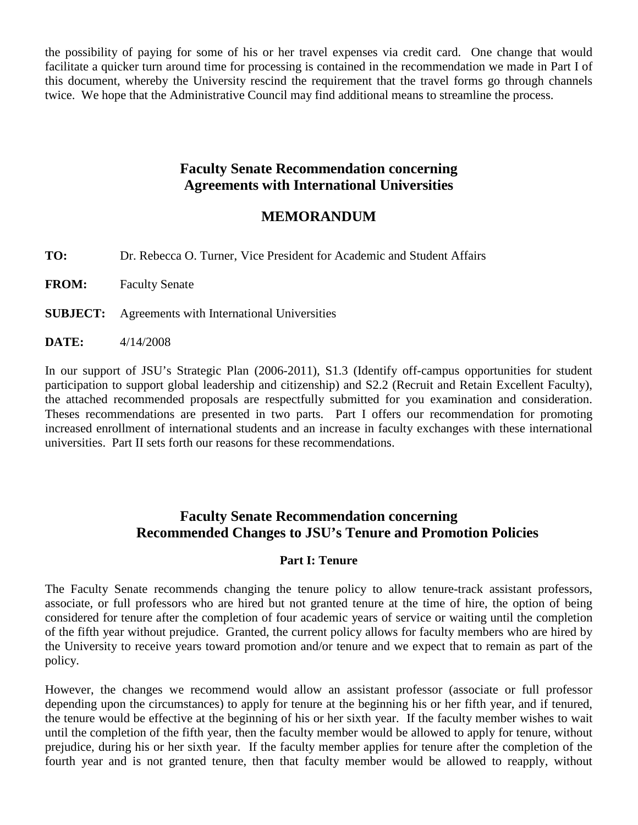the possibility of paying for some of his or her travel expenses via credit card. One change that would facilitate a quicker turn around time for processing is contained in the recommendation we made in Part I of this document, whereby the University rescind the requirement that the travel forms go through channels twice. We hope that the Administrative Council may find additional means to streamline the process.

# **Faculty Senate Recommendation concerning Agreements with International Universities**

# **MEMORANDUM**

**TO:** Dr. Rebecca O. Turner, Vice President for Academic and Student Affairs

**FROM:** Faculty Senate

**SUBJECT:** Agreements with International Universities

**DATE:** 4/14/2008

In our support of JSU's Strategic Plan (2006-2011), S1.3 (Identify off-campus opportunities for student participation to support global leadership and citizenship) and S2.2 (Recruit and Retain Excellent Faculty), the attached recommended proposals are respectfully submitted for you examination and consideration. Theses recommendations are presented in two parts. Part I offers our recommendation for promoting increased enrollment of international students and an increase in faculty exchanges with these international universities. Part II sets forth our reasons for these recommendations.

# **Faculty Senate Recommendation concerning Recommended Changes to JSU's Tenure and Promotion Policies**

## **Part I: Tenure**

The Faculty Senate recommends changing the tenure policy to allow tenure-track assistant professors, associate, or full professors who are hired but not granted tenure at the time of hire, the option of being considered for tenure after the completion of four academic years of service or waiting until the completion of the fifth year without prejudice. Granted, the current policy allows for faculty members who are hired by the University to receive years toward promotion and/or tenure and we expect that to remain as part of the policy.

However, the changes we recommend would allow an assistant professor (associate or full professor depending upon the circumstances) to apply for tenure at the beginning his or her fifth year, and if tenured, the tenure would be effective at the beginning of his or her sixth year. If the faculty member wishes to wait until the completion of the fifth year, then the faculty member would be allowed to apply for tenure, without prejudice, during his or her sixth year. If the faculty member applies for tenure after the completion of the fourth year and is not granted tenure, then that faculty member would be allowed to reapply, without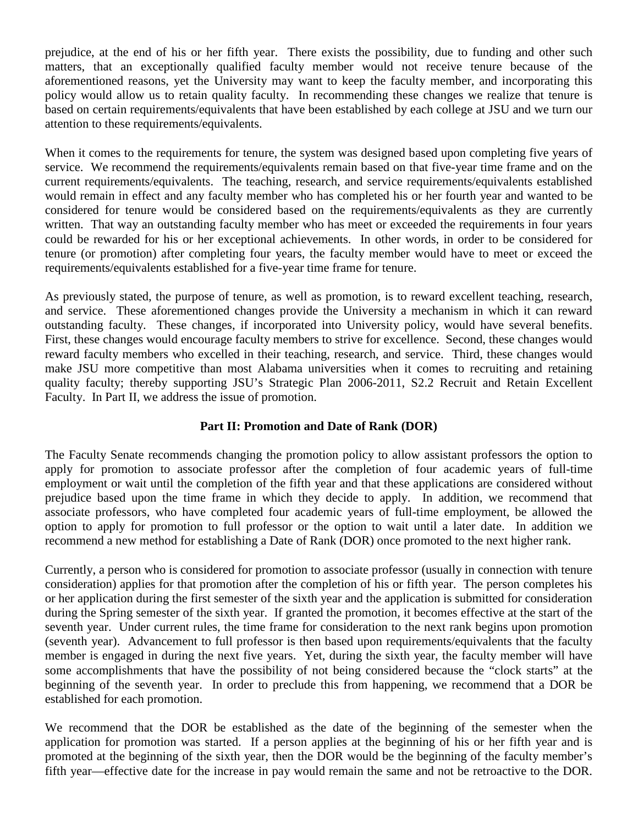prejudice, at the end of his or her fifth year. There exists the possibility, due to funding and other such matters, that an exceptionally qualified faculty member would not receive tenure because of the aforementioned reasons, yet the University may want to keep the faculty member, and incorporating this policy would allow us to retain quality faculty. In recommending these changes we realize that tenure is based on certain requirements/equivalents that have been established by each college at JSU and we turn our attention to these requirements/equivalents.

When it comes to the requirements for tenure, the system was designed based upon completing five years of service. We recommend the requirements/equivalents remain based on that five-year time frame and on the current requirements/equivalents. The teaching, research, and service requirements/equivalents established would remain in effect and any faculty member who has completed his or her fourth year and wanted to be considered for tenure would be considered based on the requirements/equivalents as they are currently written. That way an outstanding faculty member who has meet or exceeded the requirements in four years could be rewarded for his or her exceptional achievements. In other words, in order to be considered for tenure (or promotion) after completing four years, the faculty member would have to meet or exceed the requirements/equivalents established for a five-year time frame for tenure.

As previously stated, the purpose of tenure, as well as promotion, is to reward excellent teaching, research, and service. These aforementioned changes provide the University a mechanism in which it can reward outstanding faculty. These changes, if incorporated into University policy, would have several benefits. First, these changes would encourage faculty members to strive for excellence. Second, these changes would reward faculty members who excelled in their teaching, research, and service. Third, these changes would make JSU more competitive than most Alabama universities when it comes to recruiting and retaining quality faculty; thereby supporting JSU's Strategic Plan 2006-2011, S2.2 Recruit and Retain Excellent Faculty. In Part II, we address the issue of promotion.

## **Part II: Promotion and Date of Rank (DOR)**

The Faculty Senate recommends changing the promotion policy to allow assistant professors the option to apply for promotion to associate professor after the completion of four academic years of full-time employment or wait until the completion of the fifth year and that these applications are considered without prejudice based upon the time frame in which they decide to apply. In addition, we recommend that associate professors, who have completed four academic years of full-time employment, be allowed the option to apply for promotion to full professor or the option to wait until a later date. In addition we recommend a new method for establishing a Date of Rank (DOR) once promoted to the next higher rank.

Currently, a person who is considered for promotion to associate professor (usually in connection with tenure consideration) applies for that promotion after the completion of his or fifth year. The person completes his or her application during the first semester of the sixth year and the application is submitted for consideration during the Spring semester of the sixth year. If granted the promotion, it becomes effective at the start of the seventh year. Under current rules, the time frame for consideration to the next rank begins upon promotion (seventh year). Advancement to full professor is then based upon requirements/equivalents that the faculty member is engaged in during the next five years. Yet, during the sixth year, the faculty member will have some accomplishments that have the possibility of not being considered because the "clock starts" at the beginning of the seventh year. In order to preclude this from happening, we recommend that a DOR be established for each promotion.

We recommend that the DOR be established as the date of the beginning of the semester when the application for promotion was started. If a person applies at the beginning of his or her fifth year and is promoted at the beginning of the sixth year, then the DOR would be the beginning of the faculty member's fifth year—effective date for the increase in pay would remain the same and not be retroactive to the DOR.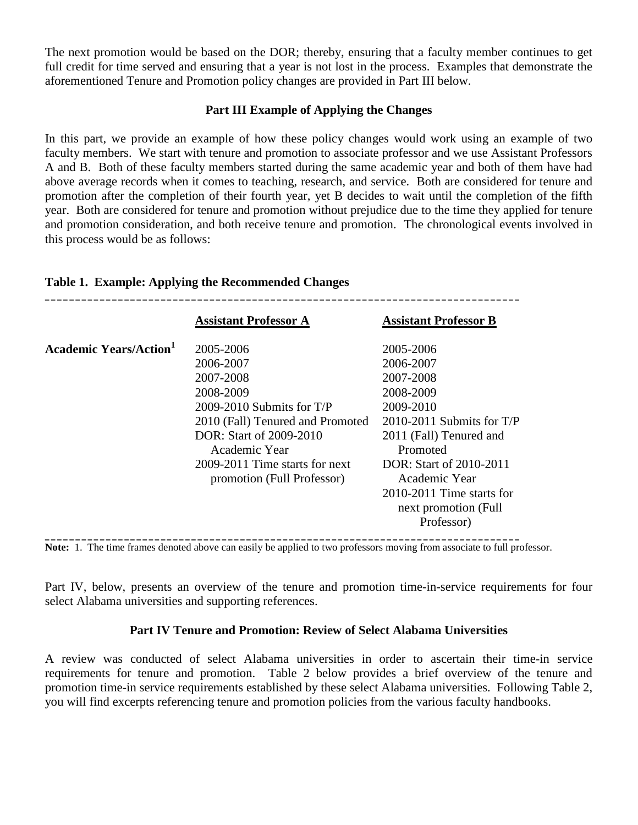The next promotion would be based on the DOR; thereby, ensuring that a faculty member continues to get full credit for time served and ensuring that a year is not lost in the process. Examples that demonstrate the aforementioned Tenure and Promotion policy changes are provided in Part III below.

## **Part III Example of Applying the Changes**

In this part, we provide an example of how these policy changes would work using an example of two faculty members. We start with tenure and promotion to associate professor and we use Assistant Professors A and B. Both of these faculty members started during the same academic year and both of them have had above average records when it comes to teaching, research, and service. Both are considered for tenure and promotion after the completion of their fourth year, yet B decides to wait until the completion of the fifth year. Both are considered for tenure and promotion without prejudice due to the time they applied for tenure and promotion consideration, and both receive tenure and promotion. The chronological events involved in this process would be as follows:

|                              | <b>Assistant Professor A</b>                                                                                                                                                                                                    | <b>Assistant Professor B</b>                                                                                                                                                                                                                          |
|------------------------------|---------------------------------------------------------------------------------------------------------------------------------------------------------------------------------------------------------------------------------|-------------------------------------------------------------------------------------------------------------------------------------------------------------------------------------------------------------------------------------------------------|
| <b>Academic Years/Action</b> | 2005-2006<br>2006-2007<br>2007-2008<br>2008-2009<br>$2009-2010$ Submits for T/P<br>2010 (Fall) Tenured and Promoted<br>DOR: Start of 2009-2010<br>Academic Year<br>2009-2011 Time starts for next<br>promotion (Full Professor) | 2005-2006<br>2006-2007<br>2007-2008<br>2008-2009<br>2009-2010<br>$2010-2011$ Submits for T/P<br>2011 (Fall) Tenured and<br>Promoted<br>DOR: Start of 2010-2011<br>Academic Year<br>$2010-2011$ Time starts for<br>next promotion (Full)<br>Professor) |

**\_\_\_\_\_\_\_\_\_\_\_\_\_\_\_\_\_\_\_\_\_\_\_\_\_\_\_\_\_\_\_\_\_\_\_\_\_\_\_\_\_\_\_\_\_\_\_\_\_\_\_\_\_\_\_\_\_\_\_\_\_\_\_\_\_\_\_\_\_\_\_\_\_\_\_\_\_\_**

### **Table 1. Example: Applying the Recommended Changes**

**Note:** 1. The time frames denoted above can easily be applied to two professors moving from associate to full professor.

Part IV, below, presents an overview of the tenure and promotion time-in-service requirements for four select Alabama universities and supporting references.

## **Part IV Tenure and Promotion: Review of Select Alabama Universities**

A review was conducted of select Alabama universities in order to ascertain their time-in service requirements for tenure and promotion. Table 2 below provides a brief overview of the tenure and promotion time-in service requirements established by these select Alabama universities. Following Table 2, you will find excerpts referencing tenure and promotion policies from the various faculty handbooks.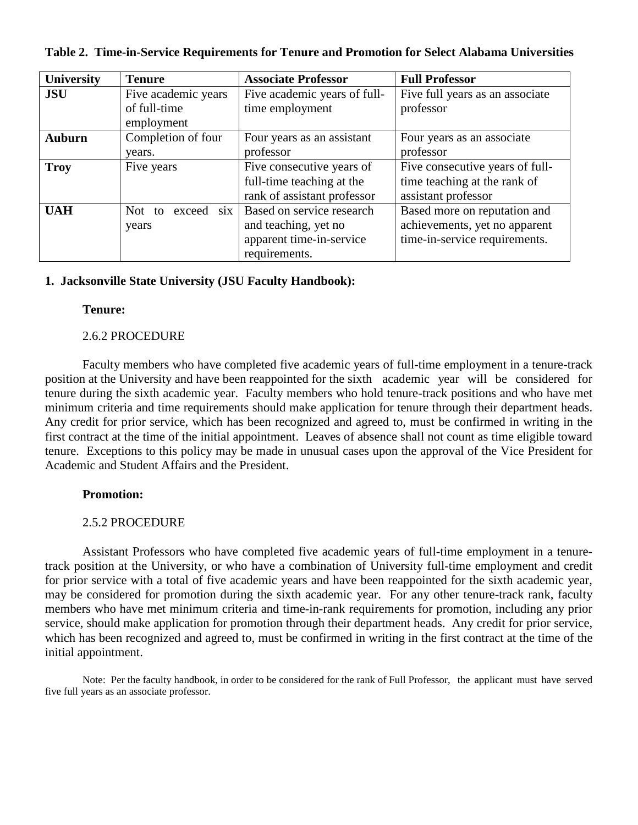| <b>University</b> | <b>Tenure</b>              | <b>Associate Professor</b>   | <b>Full Professor</b>           |
|-------------------|----------------------------|------------------------------|---------------------------------|
| <b>JSU</b>        | Five academic years        | Five academic years of full- | Five full years as an associate |
|                   | of full-time<br>employment | time employment              | professor                       |
| <b>Auburn</b>     | Completion of four         | Four years as an assistant   | Four years as an associate      |
|                   | years.                     | professor                    | professor                       |
| <b>Troy</b>       | Five years                 | Five consecutive years of    | Five consecutive years of full- |
|                   |                            | full-time teaching at the    | time teaching at the rank of    |
|                   |                            | rank of assistant professor  | assistant professor             |
| <b>UAH</b>        | six<br>Not to<br>exceed    | Based on service research    | Based more on reputation and    |
|                   | years                      | and teaching, yet no         | achievements, yet no apparent   |
|                   |                            | apparent time-in-service     | time-in-service requirements.   |
|                   |                            | requirements.                |                                 |

**Table 2. Time-in-Service Requirements for Tenure and Promotion for Select Alabama Universities**

## **1. Jacksonville State University (JSU Faculty Handbook):**

#### **Tenure:**

#### 2.6.2 PROCEDURE

Faculty members who have completed five academic years of full-time employment in a tenure-track position at the University and have been reappointed for the sixth academic year will be considered for tenure during the sixth academic year. Faculty members who hold tenure-track positions and who have met minimum criteria and time requirements should make application for tenure through their department heads. Any credit for prior service, which has been recognized and agreed to, must be confirmed in writing in the first contract at the time of the initial appointment. Leaves of absence shall not count as time eligible toward tenure. Exceptions to this policy may be made in unusual cases upon the approval of the Vice President for Academic and Student Affairs and the President.

#### **Promotion:**

### 2.5.2 PROCEDURE

Assistant Professors who have completed five academic years of full-time employment in a tenuretrack position at the University, or who have a combination of University full-time employment and credit for prior service with a total of five academic years and have been reappointed for the sixth academic year, may be considered for promotion during the sixth academic year. For any other tenure-track rank, faculty members who have met minimum criteria and time-in-rank requirements for promotion, including any prior service, should make application for promotion through their department heads. Any credit for prior service, which has been recognized and agreed to, must be confirmed in writing in the first contract at the time of the initial appointment.

Note: Per the faculty handbook, in order to be considered for the rank of Full Professor, the applicant must have served five full years as an associate professor.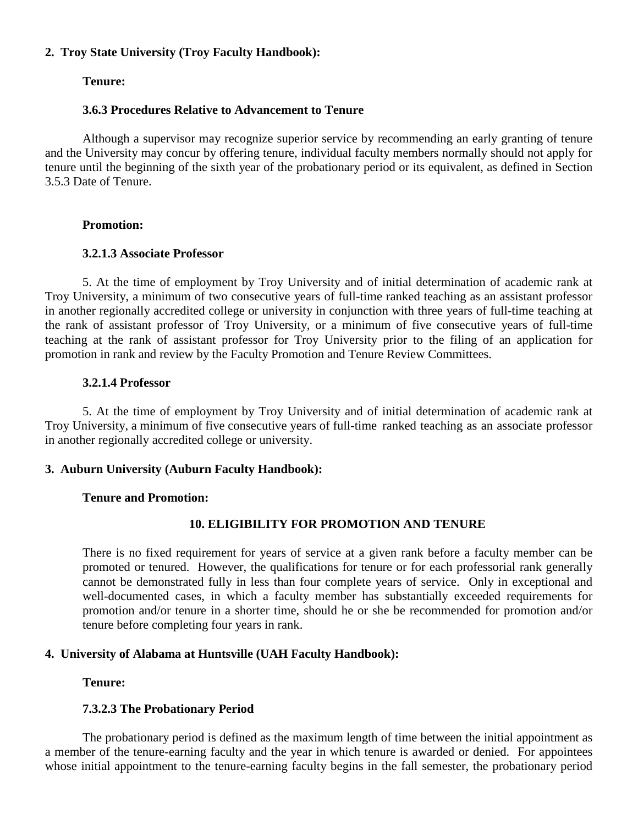## **2. Troy State University (Troy Faculty Handbook):**

## **Tenure:**

## **3.6.3 Procedures Relative to Advancement to Tenure**

Although a supervisor may recognize superior service by recommending an early granting of tenure and the University may concur by offering tenure, individual faculty members normally should not apply for tenure until the beginning of the sixth year of the probationary period or its equivalent, as defined in Section 3.5.3 Date of Tenure.

### **Promotion:**

### **3.2.1.3 Associate Professor**

5. At the time of employment by Troy University and of initial determination of academic rank at Troy University, a minimum of two consecutive years of full-time ranked teaching as an assistant professor in another regionally accredited college or university in conjunction with three years of full-time teaching at the rank of assistant professor of Troy University, or a minimum of five consecutive years of full-time teaching at the rank of assistant professor for Troy University prior to the filing of an application for promotion in rank and review by the Faculty Promotion and Tenure Review Committees.

## **3.2.1.4 Professor**

5. At the time of employment by Troy University and of initial determination of academic rank at Troy University, a minimum of five consecutive years of full-time ranked teaching as an associate professor in another regionally accredited college or university.

### **3. Auburn University (Auburn Faculty Handbook):**

### **Tenure and Promotion:**

## **10. ELIGIBILITY FOR PROMOTION AND TENURE**

There is no fixed requirement for years of service at a given rank before a faculty member can be promoted or tenured. However, the qualifications for tenure or for each professorial rank generally cannot be demonstrated fully in less than four complete years of service. Only in exceptional and well-documented cases, in which a faculty member has substantially exceeded requirements for promotion and/or tenure in a shorter time, should he or she be recommended for promotion and/or tenure before completing four years in rank.

## **4. University of Alabama at Huntsville (UAH Faculty Handbook):**

### **Tenure:**

### **7.3.2.3 The Probationary Period**

The probationary period is defined as the maximum length of time between the initial appointment as a member of the tenure-earning faculty and the year in which tenure is awarded or denied. For appointees whose initial appointment to the tenure-earning faculty begins in the fall semester, the probationary period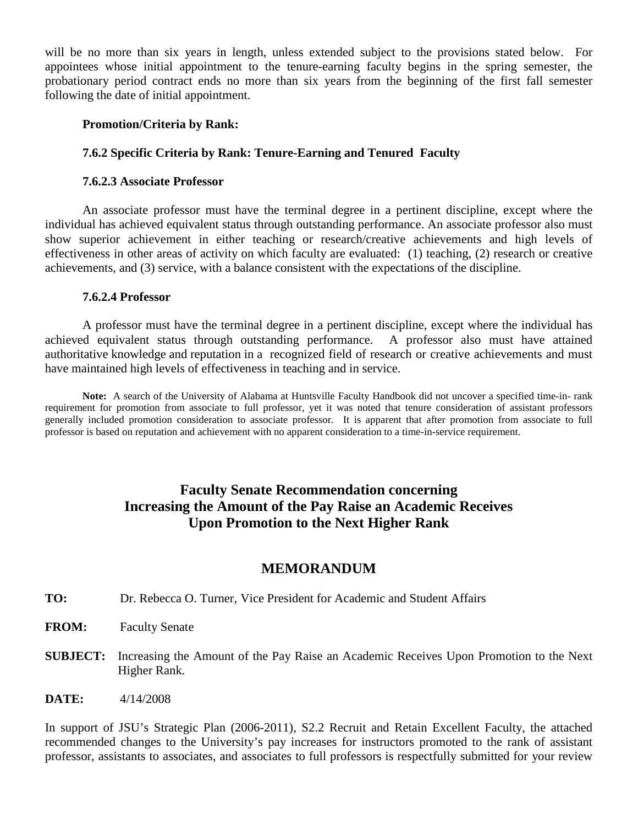will be no more than six years in length, unless extended subject to the provisions stated below. For appointees whose initial appointment to the tenure-earning faculty begins in the spring semester, the probationary period contract ends no more than six years from the beginning of the first fall semester following the date of initial appointment.

#### **Promotion/Criteria by Rank:**

#### **7.6.2 Specific Criteria by Rank: Tenure-Earning and Tenured Faculty**

#### **7.6.2.3 Associate Professor**

An associate professor must have the terminal degree in a pertinent discipline, except where the individual has achieved equivalent status through outstanding performance. An associate professor also must show superior achievement in either teaching or research/creative achievements and high levels of effectiveness in other areas of activity on which faculty are evaluated: (1) teaching, (2) research or creative achievements, and (3) service, with a balance consistent with the expectations of the discipline.

#### **7.6.2.4 Professor**

A professor must have the terminal degree in a pertinent discipline, except where the individual has achieved equivalent status through outstanding performance. A professor also must have attained authoritative knowledge and reputation in a recognized field of research or creative achievements and must have maintained high levels of effectiveness in teaching and in service.

**Note:** A search of the University of Alabama at Huntsville Faculty Handbook did not uncover a specified time-in- rank requirement for promotion from associate to full professor, yet it was noted that tenure consideration of assistant professors generally included promotion consideration to associate professor. It is apparent that after promotion from associate to full professor is based on reputation and achievement with no apparent consideration to a time-in-service requirement.

# **Faculty Senate Recommendation concerning Increasing the Amount of the Pay Raise an Academic Receives Upon Promotion to the Next Higher Rank**

## **MEMORANDUM**

- **TO:** Dr. Rebecca O. Turner, Vice President for Academic and Student Affairs
- **FROM:** Faculty Senate
- **SUBJECT:** Increasing the Amount of the Pay Raise an Academic Receives Upon Promotion to the Next Higher Rank.
- **DATE:** 4/14/2008

In support of JSU's Strategic Plan (2006-2011), S2.2 Recruit and Retain Excellent Faculty, the attached recommended changes to the University's pay increases for instructors promoted to the rank of assistant professor, assistants to associates, and associates to full professors is respectfully submitted for your review